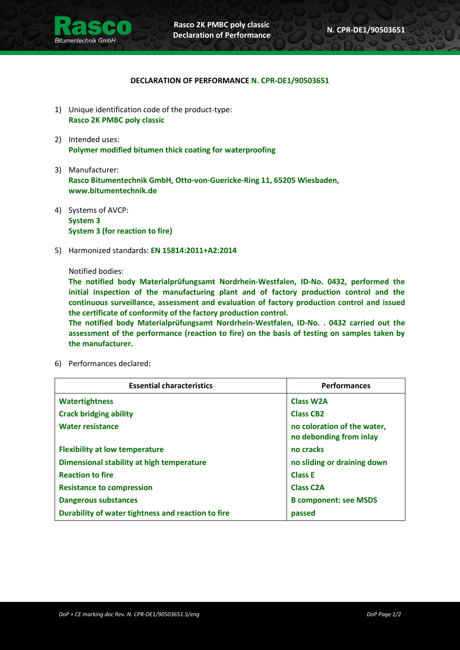

## **DECLARATION OF PERFORMANCE N. CPR-DE1/90503651**

- 1) Unique identification code of the product-type: **Rasco 2K PMBC poly classic**
- 2) Intended uses: **Polymer modified bitumen thick coating for waterproofing**
- 3) Manufacturer: **Rasco Bitumentechnik GmbH, Otto-von-Guericke-Ring 11, 65205 Wiesbaden, www.bitumentechnik.de**
- 4) Systems of AVCP: **System 3 System 3 (for reaction to fire)**
- 5) Harmonized standards: **EN 15814:2011+A2:2014**

## Notified bodies:

**The notified body Materialprüfungsamt Nordrhein-Westfalen, ID-No. 0432, performed the initial inspection of the manufacturing plant and of factory production control and the continuous surveillance, assessment and evaluation of factory production control and issued the certificate of conformity of the factory production control.**

**The notified body Materialprüfungsamt Nordrhein-Westfalen, ID-No. . 0432 carried out the assessment of the performance (reaction to fire) on the basis of testing on samples taken by the manufacturer.**

- **Essential characteristics Performances Watertightness Crack bridging ability Water resistance Flexibility at low temperature Dimensional stability at high temperature Reaction to fire Resistance to compression Dangerous substances Durability of water tightness and reaction to fire Class W2A Class CB2 no coloration of the water, no debonding from inlay no cracks no sliding or draining down Class E Class C2A B component: see MSDS passed**
- 6) Performances declared: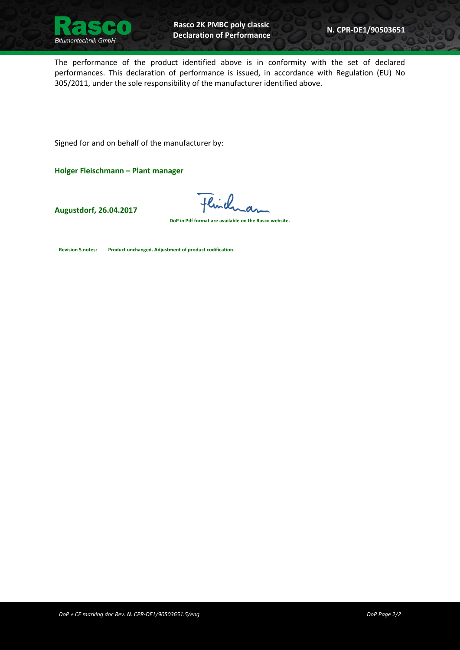

The performance of the product identified above is in conformity with the set of declared performances. This declaration of performance is issued, in accordance with Regulation (EU) No 305/2011, under the sole responsibility of the manufacturer identified above.

Signed for and on behalf of the manufacturer by:

**Holger Fleischmann – Plant manager**

**Augustdorf, 26.04.2017**

Flinch

**DoP in Pdf format are available on the Rasco website.**

<span id="page-1-0"></span>**Revision 5 notes: Product unchanged. Adjustment of product codification.**